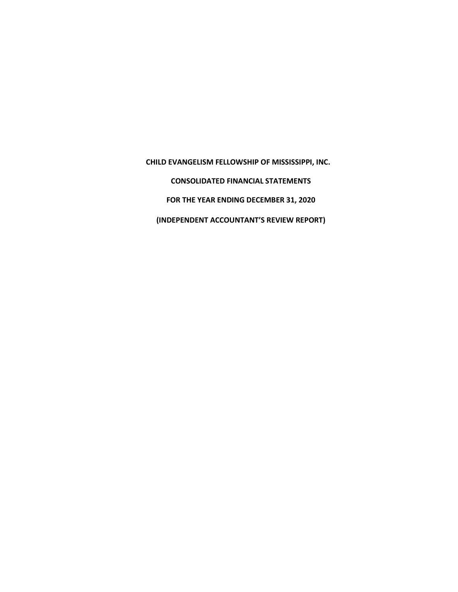**CHILD EVANGELISM FELLOWSHIP OF MISSISSIPPI, INC. CONSOLIDATED FINANCIAL STATEMENTS FOR THE YEAR ENDING DECEMBER 31, 2020 (INDEPENDENT ACCOUNTANT'S REVIEW REPORT)**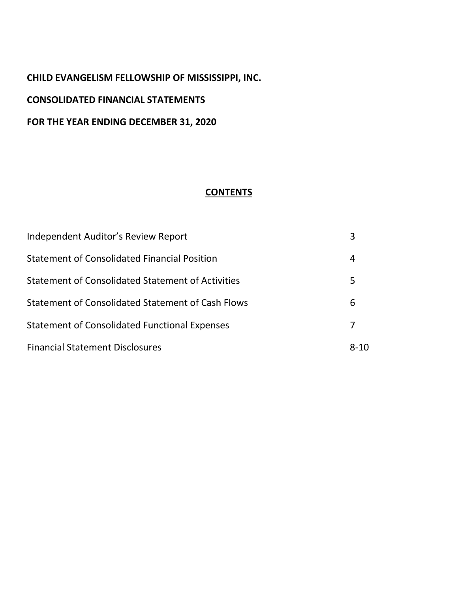# **CHILD EVANGELISM FELLOWSHIP OF MISSISSIPPI, INC. CONSOLIDATED FINANCIAL STATEMENTS FOR THE YEAR ENDING DECEMBER 31, 2020**

#### **CONTENTS**

| Independent Auditor's Review Report                  |          |
|------------------------------------------------------|----------|
| Statement of Consolidated Financial Position         | 4        |
| Statement of Consolidated Statement of Activities    | 5        |
| Statement of Consolidated Statement of Cash Flows    | 6        |
| <b>Statement of Consolidated Functional Expenses</b> |          |
| <b>Financial Statement Disclosures</b>               | $8 - 10$ |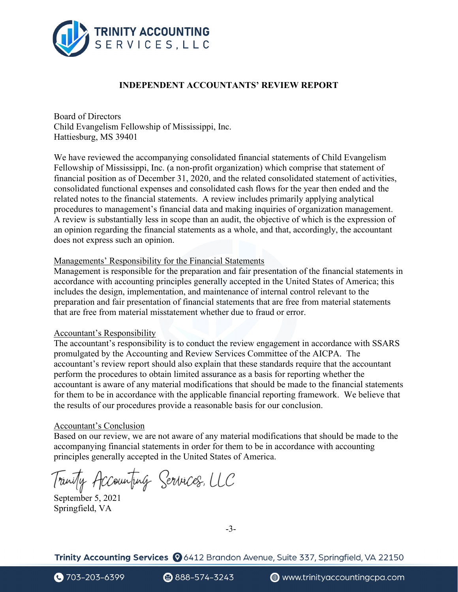

#### **INDEPENDENT ACCOUNTANTS' REVIEW REPORT**

Board of Directors Child Evangelism Fellowship of Mississippi, Inc. Hattiesburg, MS 39401

We have reviewed the accompanying consolidated financial statements of Child Evangelism Fellowship of Mississippi, Inc. (a non-profit organization) which comprise that statement of financial position as of December 31, 2020, and the related consolidated statement of activities, consolidated functional expenses and consolidated cash flows for the year then ended and the related notes to the financial statements. A review includes primarily applying analytical procedures to management's financial data and making inquiries of organization management. A review is substantially less in scope than an audit, the objective of which is the expression of an opinion regarding the financial statements as a whole, and that, accordingly, the accountant does not express such an opinion.

#### Managements' Responsibility for the Financial Statements

Management is responsible for the preparation and fair presentation of the financial statements in accordance with accounting principles generally accepted in the United States of America; this includes the design, implementation, and maintenance of internal control relevant to the preparation and fair presentation of financial statements that are free from material statements that are free from material misstatement whether due to fraud or error.

#### Accountant's Responsibility

The accountant's responsibility is to conduct the review engagement in accordance with SSARS promulgated by the Accounting and Review Services Committee of the AICPA. The accountant's review report should also explain that these standards require that the accountant perform the procedures to obtain limited assurance as a basis for reporting whether the accountant is aware of any material modifications that should be made to the financial statements for them to be in accordance with the applicable financial reporting framework. We believe that the results of our procedures provide a reasonable basis for our conclusion.

#### Accountant's Conclusion

Based on our review, we are not aware of any material modifications that should be made to the accompanying financial statements in order for them to be in accordance with accounting principles generally accepted in the United States of America.

September 5, 2021

Springfield, VA

-3-

Trinity Accounting Services (26412 Brandon Avenue, Suite 337, Springfield, VA 22150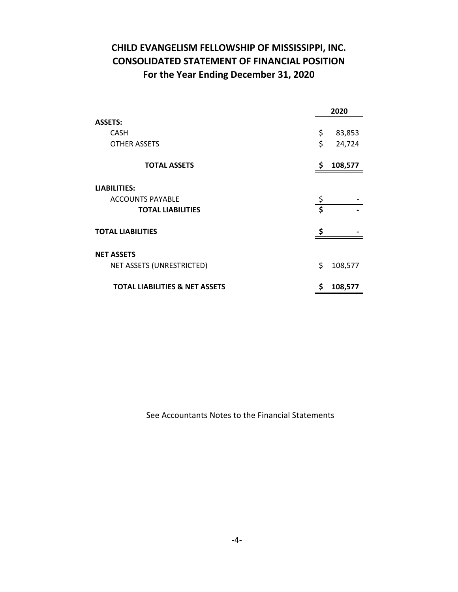# **CHILD EVANGELISM FELLOWSHIP OF MISSISSIPPI, INC. CONSOLIDATED STATEMENT OF FINANCIAL POSITION For the Year Ending December 31, 2020**

|                                           | 2020 |         |
|-------------------------------------------|------|---------|
| <b>ASSETS:</b>                            |      |         |
| <b>CASH</b>                               | \$   | 83,853  |
| <b>OTHER ASSETS</b>                       | \$   | 24,724  |
| <b>TOTAL ASSETS</b>                       | \$   | 108,577 |
| <b>LIABILITIES:</b>                       |      |         |
| <b>ACCOUNTS PAYABLE</b>                   | \$   |         |
| <b>TOTAL LIABILITIES</b>                  | Ś    |         |
| <b>TOTAL LIABILITIES</b>                  | Ś    |         |
|                                           |      |         |
| <b>NET ASSETS</b>                         |      |         |
| NET ASSETS (UNRESTRICTED)                 | \$   | 108,577 |
| <b>TOTAL LIABILITIES &amp; NET ASSETS</b> | ς    | 108,577 |

See Accountants Notes to the Financial Statements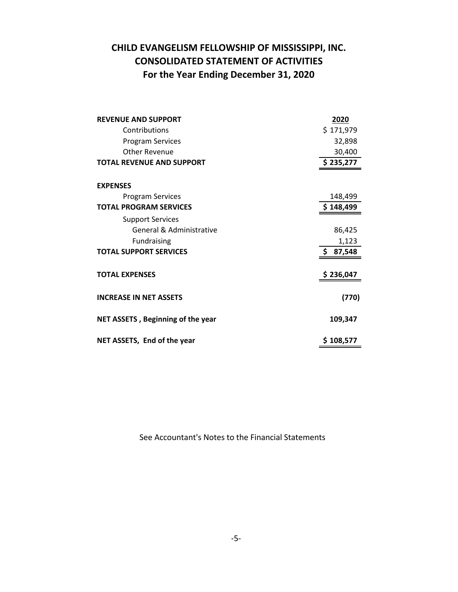# **CHILD EVANGELISM FELLOWSHIP OF MISSISSIPPI, INC. CONSOLIDATED STATEMENT OF ACTIVITIES For the Year Ending December 31, 2020**

| <b>REVENUE AND SUPPORT</b>        | 2020          |
|-----------------------------------|---------------|
| Contributions                     | \$171,979     |
| <b>Program Services</b>           | 32,898        |
| <b>Other Revenue</b>              | 30,400        |
| <b>TOTAL REVENUE AND SUPPORT</b>  | \$235,277     |
|                                   |               |
| <b>EXPENSES</b>                   |               |
| <b>Program Services</b>           | 148,499       |
| <b>TOTAL PROGRAM SERVICES</b>     | \$148,499     |
| <b>Support Services</b>           |               |
| General & Administrative          | 86,425        |
| <b>Fundraising</b>                | 1,123         |
| <b>TOTAL SUPPORT SERVICES</b>     | \$.<br>87,548 |
|                                   |               |
| <b>TOTAL EXPENSES</b>             | \$236,047     |
|                                   |               |
| <b>INCREASE IN NET ASSETS</b>     | (770)         |
| NET ASSETS, Beginning of the year | 109,347       |
| NET ASSETS, End of the year       | \$108,577     |

See Accountant's Notes to the Financial Statements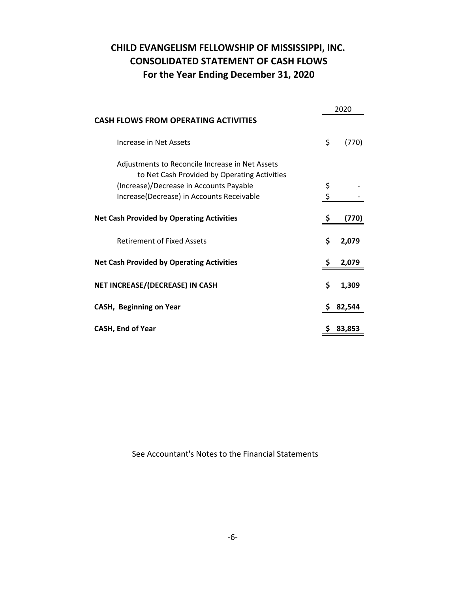# **CHILD EVANGELISM FELLOWSHIP OF MISSISSIPPI, INC. CONSOLIDATED STATEMENT OF CASH FLOWS For the Year Ending December 31, 2020**

|                                                  | 2020 |        |  |
|--------------------------------------------------|------|--------|--|
| <b>CASH FLOWS FROM OPERATING ACTIVITIES</b>      |      |        |  |
| Increase in Net Assets                           | \$   | (770)  |  |
| Adjustments to Reconcile Increase in Net Assets  |      |        |  |
| to Net Cash Provided by Operating Activities     |      |        |  |
| (Increase)/Decrease in Accounts Payable          | \$   |        |  |
| Increase(Decrease) in Accounts Receivable        | \$   |        |  |
| <b>Net Cash Provided by Operating Activities</b> |      | (770)  |  |
| <b>Retirement of Fixed Assets</b>                | \$   | 2,079  |  |
| <b>Net Cash Provided by Operating Activities</b> |      | 2,079  |  |
| NET INCREASE/(DECREASE) IN CASH                  |      | 1,309  |  |
| <b>CASH, Beginning on Year</b>                   | \$   | 82,544 |  |
| <b>CASH, End of Year</b>                         |      | 83.853 |  |

See Accountant's Notes to the Financial Statements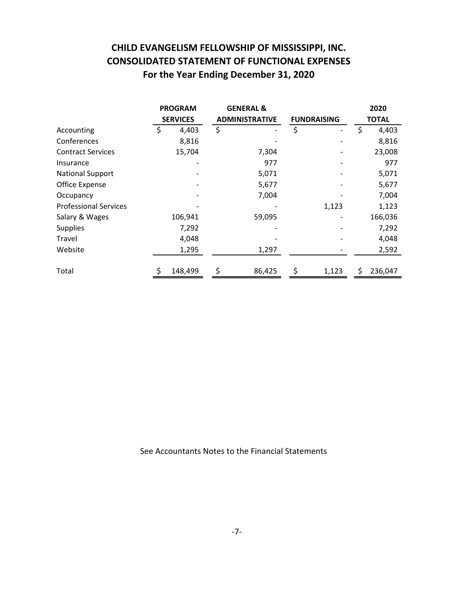# **CHILD EVANGELISM FELLOWSHIP OF MISSISSIPPI, INC. CONSOLIDATED STATEMENT OF FUNCTIONAL EXPENSES For the Year Ending December 31, 2020**

|                              | <b>PROGRAM</b><br><b>SERVICES</b> |         |                       | <b>GENERAL &amp;</b> |                    |       |              | 2020    |
|------------------------------|-----------------------------------|---------|-----------------------|----------------------|--------------------|-------|--------------|---------|
|                              |                                   |         | <b>ADMINISTRATIVE</b> |                      | <b>FUNDRAISING</b> |       | <b>TOTAL</b> |         |
| Accounting                   |                                   | 4,403   | \$                    |                      | \$                 |       | Ś            | 4,403   |
| Conferences                  |                                   | 8,816   |                       |                      |                    |       |              | 8,816   |
| <b>Contract Services</b>     |                                   | 15,704  |                       | 7,304                |                    |       |              | 23,008  |
| Insurance                    |                                   |         |                       | 977                  |                    |       |              | 977     |
| <b>National Support</b>      |                                   |         |                       | 5,071                |                    |       |              | 5,071   |
| Office Expense               |                                   |         |                       | 5,677                |                    |       |              | 5,677   |
| Occupancy                    |                                   |         |                       | 7,004                |                    |       |              | 7,004   |
| <b>Professional Services</b> |                                   |         |                       |                      |                    | 1,123 |              | 1,123   |
| Salary & Wages               |                                   | 106,941 |                       | 59,095               |                    |       |              | 166,036 |
| <b>Supplies</b>              |                                   | 7,292   |                       |                      |                    |       |              | 7,292   |
| Travel                       |                                   | 4,048   |                       |                      |                    |       |              | 4,048   |
| Website                      |                                   | 1,295   |                       | 1,297                |                    |       |              | 2,592   |
| Total                        | \$                                | 148,499 |                       | 86,425               | \$                 | 1,123 | \$           | 236,047 |

See Accountants Notes to the Financial Statements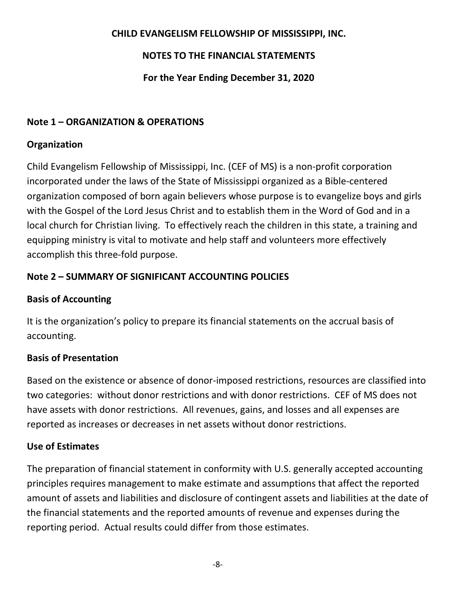# **CHILD EVANGELISM FELLOWSHIP OF MISSISSIPPI, INC.**

# **NOTES TO THE FINANCIAL STATEMENTS**

# **For the Year Ending December 31, 2020**

# **Note 1 – ORGANIZATION & OPERATIONS**

# **Organization**

Child Evangelism Fellowship of Mississippi, Inc. (CEF of MS) is a non-profit corporation incorporated under the laws of the State of Mississippi organized as a Bible-centered organization composed of born again believers whose purpose is to evangelize boys and girls with the Gospel of the Lord Jesus Christ and to establish them in the Word of God and in a local church for Christian living. To effectively reach the children in this state, a training and equipping ministry is vital to motivate and help staff and volunteers more effectively accomplish this three-fold purpose.

# **Note 2 – SUMMARY OF SIGNIFICANT ACCOUNTING POLICIES**

# **Basis of Accounting**

It is the organization's policy to prepare its financial statements on the accrual basis of accounting.

## **Basis of Presentation**

Based on the existence or absence of donor-imposed restrictions, resources are classified into two categories: without donor restrictions and with donor restrictions. CEF of MS does not have assets with donor restrictions. All revenues, gains, and losses and all expenses are reported as increases or decreases in net assets without donor restrictions.

## **Use of Estimates**

The preparation of financial statement in conformity with U.S. generally accepted accounting principles requires management to make estimate and assumptions that affect the reported amount of assets and liabilities and disclosure of contingent assets and liabilities at the date of the financial statements and the reported amounts of revenue and expenses during the reporting period. Actual results could differ from those estimates.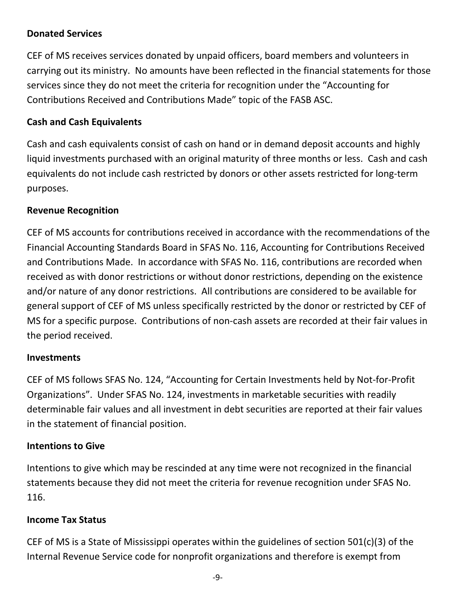# **Donated Services**

CEF of MS receives services donated by unpaid officers, board members and volunteers in carrying out its ministry. No amounts have been reflected in the financial statements for those services since they do not meet the criteria for recognition under the "Accounting for Contributions Received and Contributions Made" topic of the FASB ASC.

# **Cash and Cash Equivalents**

Cash and cash equivalents consist of cash on hand or in demand deposit accounts and highly liquid investments purchased with an original maturity of three months or less. Cash and cash equivalents do not include cash restricted by donors or other assets restricted for long-term purposes.

## **Revenue Recognition**

CEF of MS accounts for contributions received in accordance with the recommendations of the Financial Accounting Standards Board in SFAS No. 116, Accounting for Contributions Received and Contributions Made. In accordance with SFAS No. 116, contributions are recorded when received as with donor restrictions or without donor restrictions, depending on the existence and/or nature of any donor restrictions. All contributions are considered to be available for general support of CEF of MS unless specifically restricted by the donor or restricted by CEF of MS for a specific purpose. Contributions of non-cash assets are recorded at their fair values in the period received.

#### **Investments**

CEF of MS follows SFAS No. 124, "Accounting for Certain Investments held by Not-for-Profit Organizations". Under SFAS No. 124, investments in marketable securities with readily determinable fair values and all investment in debt securities are reported at their fair values in the statement of financial position.

## **Intentions to Give**

Intentions to give which may be rescinded at any time were not recognized in the financial statements because they did not meet the criteria for revenue recognition under SFAS No. 116.

## **Income Tax Status**

CEF of MS is a State of Mississippi operates within the guidelines of section 501(c)(3) of the Internal Revenue Service code for nonprofit organizations and therefore is exempt from